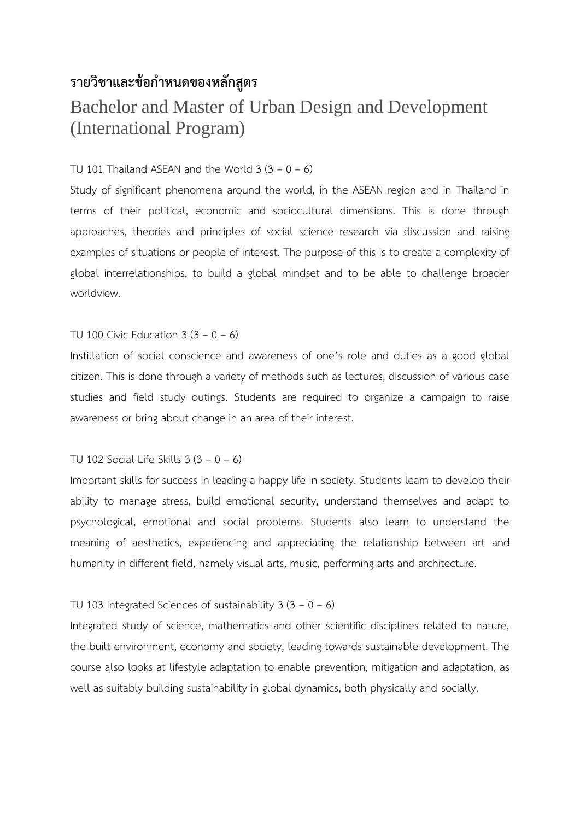## **รายวิชาและข้อก าหนดของหลักสูตร**

# Bachelor and Master of Urban Design and Development (International Program)

## TU 101 Thailand ASEAN and the World  $3(3 - 0 - 6)$

Study of significant phenomena around the world, in the ASEAN region and in Thailand in terms of their political, economic and sociocultural dimensions. This is done through approaches, theories and principles of social science research via discussion and raising examples of situations or people of interest. The purpose of this is to create a complexity of global interrelationships, to build a global mindset and to be able to challenge broader worldview.

## TU 100 Civic Education  $3(3 - 0 - 6)$

Instillation of social conscience and awareness of one's role and duties as a good global citizen. This is done through a variety of methods such as lectures, discussion of various case studies and field study outings. Students are required to organize a campaign to raise awareness or bring about change in an area of their interest.

## TU 102 Social Life Skills  $3(3 - 0 - 6)$

Important skills for success in leading a happy life in society. Students learn to develop their ability to manage stress, build emotional security, understand themselves and adapt to psychological, emotional and social problems. Students also learn to understand the meaning of aesthetics, experiencing and appreciating the relationship between art and humanity in different field, namely visual arts, music, performing arts and architecture.

## TU 103 Integrated Sciences of sustainability  $3(3 - 0 - 6)$

Integrated study of science, mathematics and other scientific disciplines related to nature, the built environment, economy and society, leading towards sustainable development. The course also looks at lifestyle adaptation to enable prevention, mitigation and adaptation, as well as suitably building sustainability in global dynamics, both physically and socially.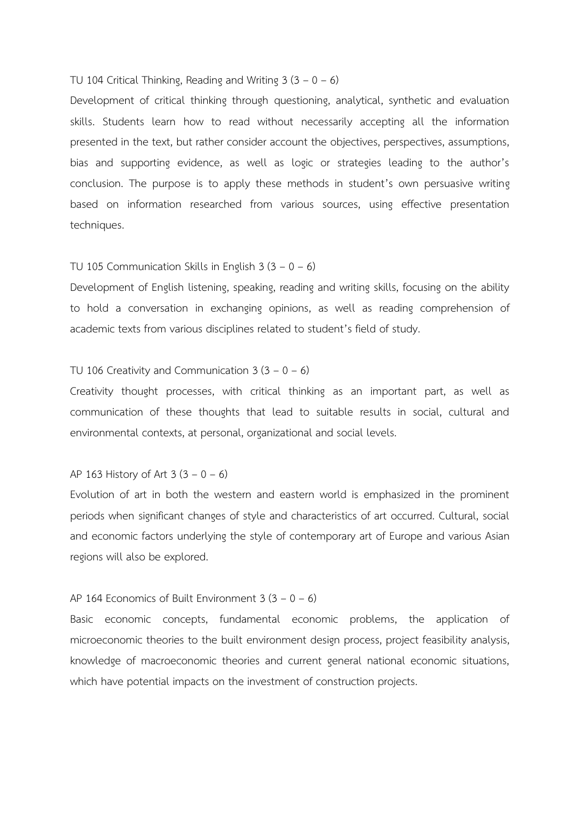## TU 104 Critical Thinking, Reading and Writing  $3(3 - 0 - 6)$

Development of critical thinking through questioning, analytical, synthetic and evaluation skills. Students learn how to read without necessarily accepting all the information presented in the text, but rather consider account the objectives, perspectives, assumptions, bias and supporting evidence, as well as logic or strategies leading to the author's conclusion. The purpose is to apply these methods in student's own persuasive writing based on information researched from various sources, using effective presentation techniques.

#### TU 105 Communication Skills in English  $3(3 - 0 - 6)$

Development of English listening, speaking, reading and writing skills, focusing on the ability to hold a conversation in exchanging opinions, as well as reading comprehension of academic texts from various disciplines related to student's field of study.

#### TU 106 Creativity and Communication  $3(3 - 0 - 6)$

Creativity thought processes, with critical thinking as an important part, as well as communication of these thoughts that lead to suitable results in social, cultural and environmental contexts, at personal, organizational and social levels.

#### AP 163 History of Art  $3(3 - 0 - 6)$

Evolution of art in both the western and eastern world is emphasized in the prominent periods when significant changes of style and characteristics of art occurred. Cultural, social and economic factors underlying the style of contemporary art of Europe and various Asian regions will also be explored.

### AP 164 Economics of Built Environment  $3(3 - 0 - 6)$

Basic economic concepts, fundamental economic problems, the application of microeconomic theories to the built environment design process, project feasibility analysis, knowledge of macroeconomic theories and current general national economic situations, which have potential impacts on the investment of construction projects.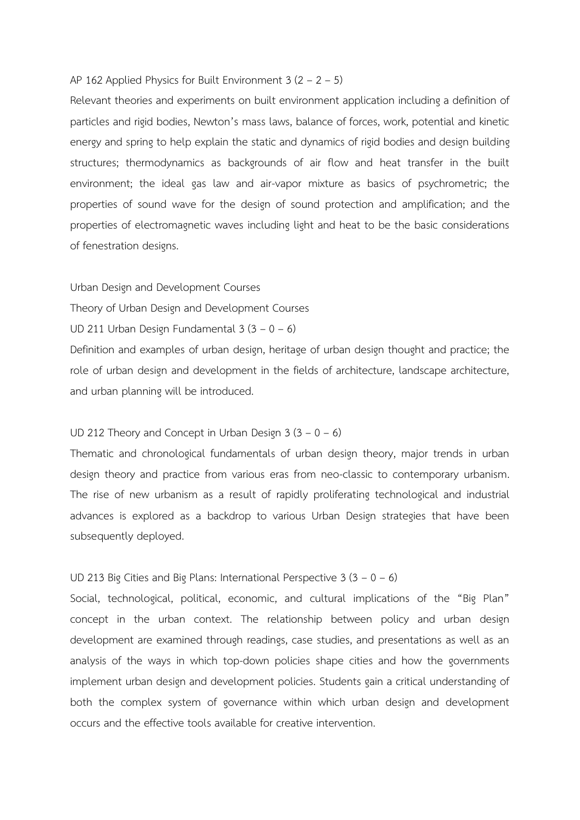## AP 162 Applied Physics for Built Environment  $3(2 - 2 - 5)$

Relevant theories and experiments on built environment application including a definition of particles and rigid bodies, Newton's mass laws, balance of forces, work, potential and kinetic energy and spring to help explain the static and dynamics of rigid bodies and design building structures; thermodynamics as backgrounds of air flow and heat transfer in the built environment; the ideal gas law and air-vapor mixture as basics of psychrometric; the properties of sound wave for the design of sound protection and amplification; and the properties of electromagnetic waves including light and heat to be the basic considerations of fenestration designs.

Urban Design and Development Courses

Theory of Urban Design and Development Courses

UD 211 Urban Design Fundamental  $3(3 - 0 - 6)$ 

Definition and examples of urban design, heritage of urban design thought and practice; the role of urban design and development in the fields of architecture, landscape architecture, and urban planning will be introduced.

## UD 212 Theory and Concept in Urban Design  $3(3 - 0 - 6)$

Thematic and chronological fundamentals of urban design theory, major trends in urban design theory and practice from various eras from neo-classic to contemporary urbanism. The rise of new urbanism as a result of rapidly proliferating technological and industrial advances is explored as a backdrop to various Urban Design strategies that have been subsequently deployed.

#### UD 213 Big Cities and Big Plans: International Perspective  $3(3 - 0 - 6)$

Social, technological, political, economic, and cultural implications of the "Big Plan" concept in the urban context. The relationship between policy and urban design development are examined through readings, case studies, and presentations as well as an analysis of the ways in which top-down policies shape cities and how the governments implement urban design and development policies. Students gain a critical understanding of both the complex system of governance within which urban design and development occurs and the effective tools available for creative intervention.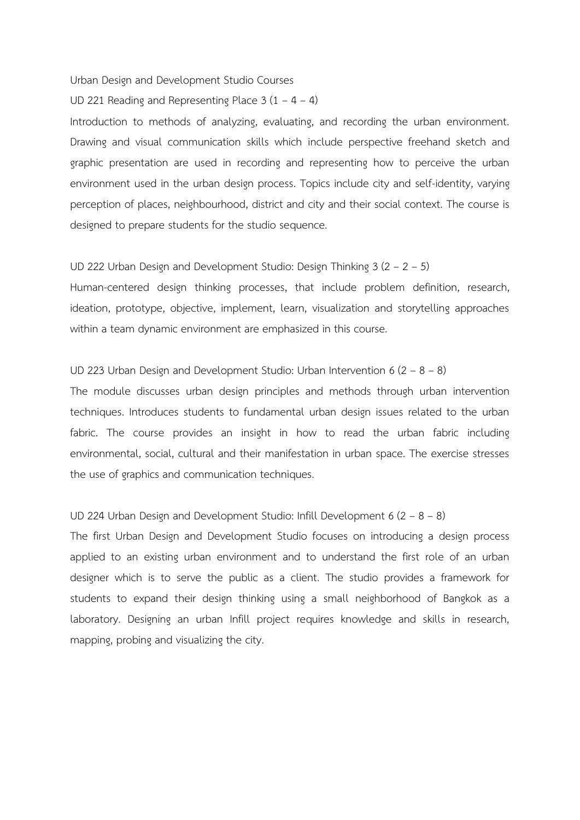Urban Design and Development Studio Courses

UD 221 Reading and Representing Place  $3(1 - 4 - 4)$ 

Introduction to methods of analyzing, evaluating, and recording the urban environment. Drawing and visual communication skills which include perspective freehand sketch and graphic presentation are used in recording and representing how to perceive the urban environment used in the urban design process. Topics include city and self-identity, varying perception of places, neighbourhood, district and city and their social context. The course is designed to prepare students for the studio sequence.

#### UD 222 Urban Design and Development Studio: Design Thinking 3 (2 – 2 – 5)

Human-centered design thinking processes, that include problem definition, research, ideation, prototype, objective, implement, learn, visualization and storytelling approaches within a team dynamic environment are emphasized in this course.

#### UD 223 Urban Design and Development Studio: Urban Intervention 6  $(2 - 8 - 8)$

The module discusses urban design principles and methods through urban intervention techniques. Introduces students to fundamental urban design issues related to the urban fabric. The course provides an insight in how to read the urban fabric including environmental, social, cultural and their manifestation in urban space. The exercise stresses the use of graphics and communication techniques.

#### UD 224 Urban Design and Development Studio: Infill Development 6 (2 – 8 – 8)

The first Urban Design and Development Studio focuses on introducing a design process applied to an existing urban environment and to understand the first role of an urban designer which is to serve the public as a client. The studio provides a framework for students to expand their design thinking using a small neighborhood of Bangkok as a laboratory. Designing an urban Infill project requires knowledge and skills in research, mapping, probing and visualizing the city.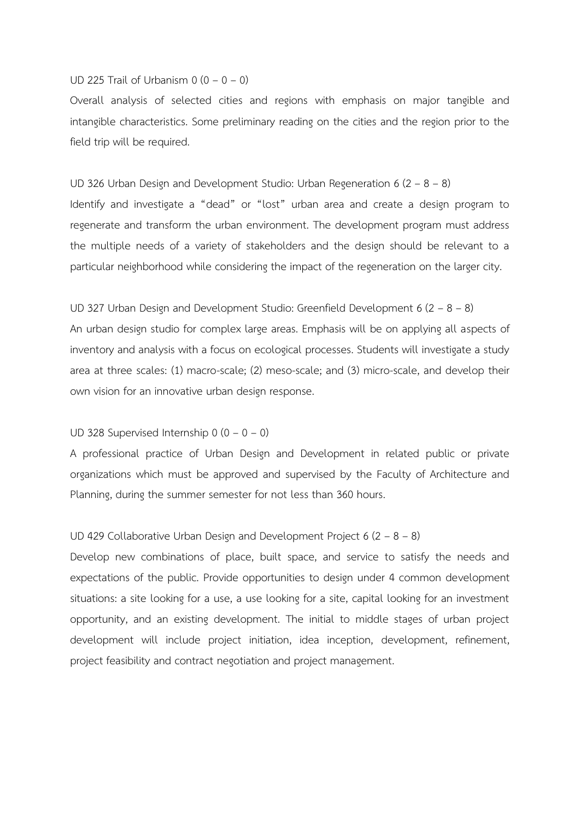#### UD 225 Trail of Urbanism  $0$   $(0 - 0 - 0)$

Overall analysis of selected cities and regions with emphasis on major tangible and intangible characteristics. Some preliminary reading on the cities and the region prior to the field trip will be required.

UD 326 Urban Design and Development Studio: Urban Regeneration 6 (2 – 8 – 8) Identify and investigate a "dead" or "lost" urban area and create a design program to regenerate and transform the urban environment. The development program must address the multiple needs of a variety of stakeholders and the design should be relevant to a particular neighborhood while considering the impact of the regeneration on the larger city.

#### UD 327 Urban Design and Development Studio: Greenfield Development 6 (2 – 8 – 8)

An urban design studio for complex large areas. Emphasis will be on applying all aspects of inventory and analysis with a focus on ecological processes. Students will investigate a study area at three scales: (1) macro-scale; (2) meso-scale; and (3) micro-scale, and develop their own vision for an innovative urban design response.

#### UD 328 Supervised Internship  $0$   $(0 - 0 - 0)$

A professional practice of Urban Design and Development in related public or private organizations which must be approved and supervised by the Faculty of Architecture and Planning, during the summer semester for not less than 360 hours.

#### UD 429 Collaborative Urban Design and Development Project 6 (2 – 8 – 8)

Develop new combinations of place, built space, and service to satisfy the needs and expectations of the public. Provide opportunities to design under 4 common development situations: a site looking for a use, a use looking for a site, capital looking for an investment opportunity, and an existing development. The initial to middle stages of urban project development will include project initiation, idea inception, development, refinement, project feasibility and contract negotiation and project management.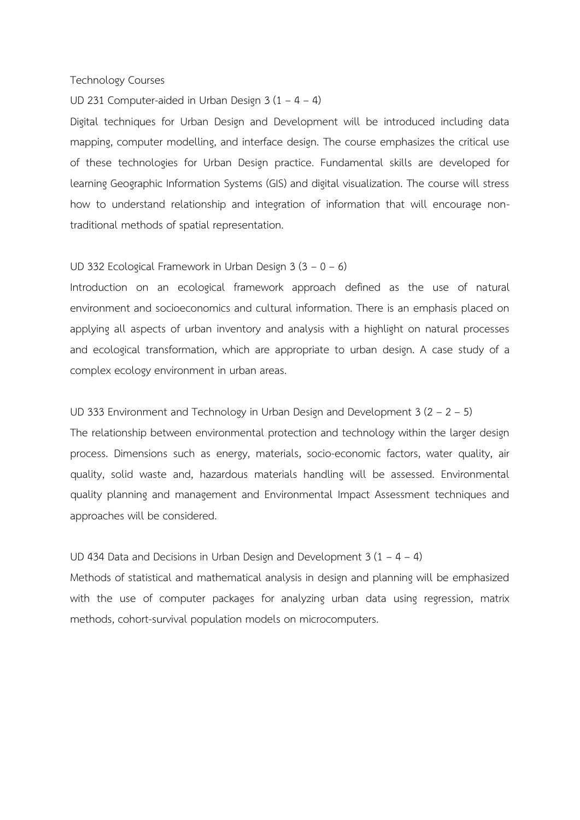#### Technology Courses

UD 231 Computer-aided in Urban Design 3 (1 – 4 – 4)

Digital techniques for Urban Design and Development will be introduced including data mapping, computer modelling, and interface design. The course emphasizes the critical use of these technologies for Urban Design practice. Fundamental skills are developed for learning Geographic Information Systems (GIS) and digital visualization. The course will stress how to understand relationship and integration of information that will encourage nontraditional methods of spatial representation.

#### UD 332 Ecological Framework in Urban Design 3 (3 – 0 – 6)

Introduction on an ecological framework approach defined as the use of natural environment and socioeconomics and cultural information. There is an emphasis placed on applying all aspects of urban inventory and analysis with a highlight on natural processes and ecological transformation, which are appropriate to urban design. A case study of a complex ecology environment in urban areas.

#### UD 333 Environment and Technology in Urban Design and Development 3 (2 – 2 – 5)

The relationship between environmental protection and technology within the larger design process. Dimensions such as energy, materials, socio-economic factors, water quality, air quality, solid waste and, hazardous materials handling will be assessed. Environmental quality planning and management and Environmental Impact Assessment techniques and approaches will be considered.

#### UD 434 Data and Decisions in Urban Design and Development  $3(1 - 4 - 4)$

Methods of statistical and mathematical analysis in design and planning will be emphasized with the use of computer packages for analyzing urban data using regression, matrix methods, cohort-survival population models on microcomputers.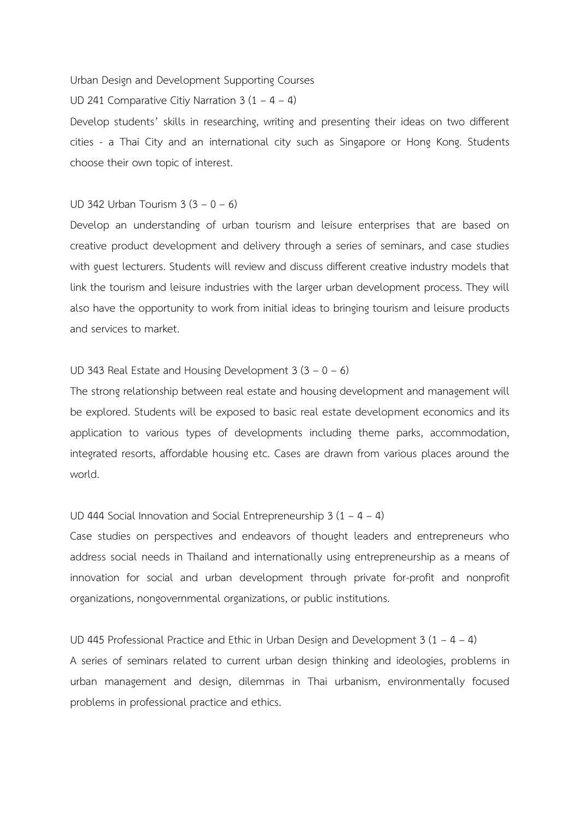Urban Design and Development Supporting Courses

UD 241 Comparative Citiy Narration  $3(1 - 4 - 4)$ 

Develop students' skills in researching, writing and presenting their ideas on two different cities - a Thai City and an international city such as Singapore or Hong Kong. Students choose their own topic of interest.

#### UD 342 Urban Tourism  $3(3 - 0 - 6)$

Develop an understanding of urban tourism and leisure enterprises that are based on creative product development and delivery through a series of seminars, and case studies with guest lecturers. Students will review and discuss different creative industry models that link the tourism and leisure industries with the larger urban development process. They will also have the opportunity to work from initial ideas to bringing tourism and leisure products and services to market.

### UD 343 Real Estate and Housing Development  $3(3 - 0 - 6)$

The strong relationship between real estate and housing development and management will be explored. Students will be exposed to basic real estate development economics and its application to various types of developments including theme parks, accommodation, integrated resorts, affordable housing etc. Cases are drawn from various places around the world.

#### UD 444 Social Innovation and Social Entrepreneurship  $3(1 - 4 - 4)$

Case studies on perspectives and endeavors of thought leaders and entrepreneurs who address social needs in Thailand and internationally using entrepreneurship as a means of innovation for social and urban development through private for-profit and nonprofit organizations, nongovernmental organizations, or public institutions.

UD 445 Professional Practice and Ethic in Urban Design and Development  $3(1 - 4 - 4)$ 

A series of seminars related to current urban design thinking and ideologies, problems in urban management and design, dilemmas in Thai urbanism, environmentally focused problems in professional practice and ethics.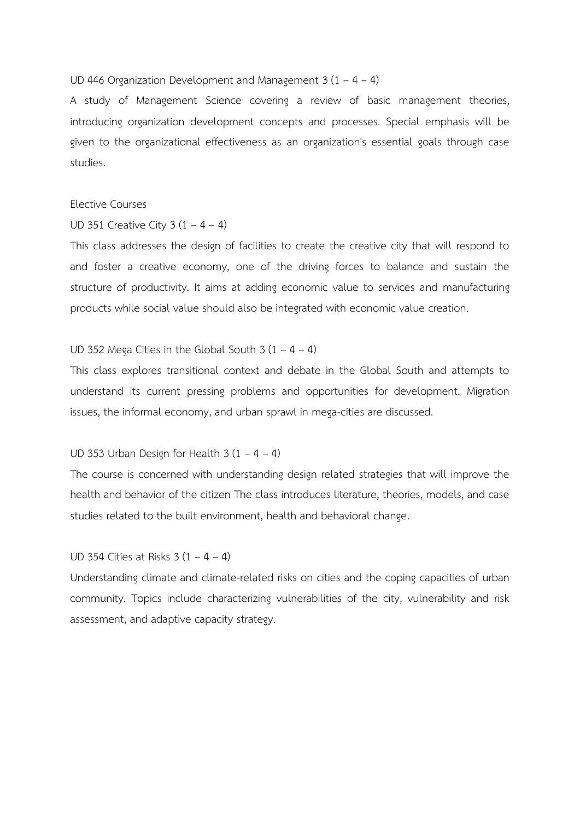UD 446 Organization Development and Management  $3(1 - 4 - 4)$ 

A study of Management Science covering a review of basic management theories, introducing organization development concepts and processes. Special emphasis will be given to the organizational effectiveness as an organization's essential goals through case studies.

#### Elective Courses

UD 351 Creative City  $3(1 - 4 - 4)$ 

This class addresses the design of facilities to create the creative city that will respond to and foster a creative economy, one of the driving forces to balance and sustain the structure of productivity. It aims at adding economic value to services and manufacturing products while social value should also be integrated with economic value creation.

#### UD 352 Mega Cities in the Global South  $3(1 - 4 - 4)$

This class explores transitional context and debate in the Global South and attempts to understand its current pressing problems and opportunities for development. Migration issues, the informal economy, and urban sprawl in mega-cities are discussed.

#### UD 353 Urban Design for Health  $3(1 - 4 - 4)$

The course is concerned with understanding design related strategies that will improve the health and behavior of the citizen The class introduces literature, theories, models, and case studies related to the built environment, health and behavioral change.

#### UD 354 Cities at Risks  $3(1 - 4 - 4)$

Understanding climate and climate-related risks on cities and the coping capacities of urban community. Topics include characterizing vulnerabilities of the city, vulnerability and risk assessment, and adaptive capacity strategy.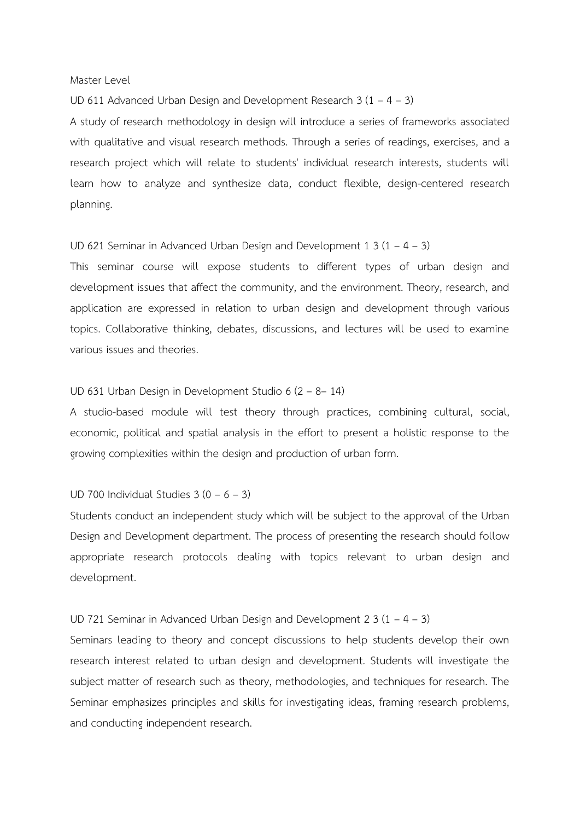#### Master Level

UD 611 Advanced Urban Design and Development Research 3 (1 – 4 – 3)

A study of research methodology in design will introduce a series of frameworks associated with qualitative and visual research methods. Through a series of readings, exercises, and a research project which will relate to students' individual research interests, students will learn how to analyze and synthesize data, conduct flexible, design-centered research planning.

#### UD 621 Seminar in Advanced Urban Design and Development 1 3 (1 – 4 – 3)

This seminar course will expose students to different types of urban design and development issues that affect the community, and the environment. Theory, research, and application are expressed in relation to urban design and development through various topics. Collaborative thinking, debates, discussions, and lectures will be used to examine various issues and theories.

#### UD 631 Urban Design in Development Studio 6 (2 – 8– 14)

A studio-based module will test theory through practices, combining cultural, social, economic, political and spatial analysis in the effort to present a holistic response to the growing complexities within the design and production of urban form.

#### UD 700 Individual Studies  $3(0 - 6 - 3)$

Students conduct an independent study which will be subject to the approval of the Urban Design and Development department. The process of presenting the research should follow appropriate research protocols dealing with topics relevant to urban design and development.

#### UD 721 Seminar in Advanced Urban Design and Development 2 3 (1 – 4 – 3)

Seminars leading to theory and concept discussions to help students develop their own research interest related to urban design and development. Students will investigate the subject matter of research such as theory, methodologies, and techniques for research. The Seminar emphasizes principles and skills for investigating ideas, framing research problems, and conducting independent research.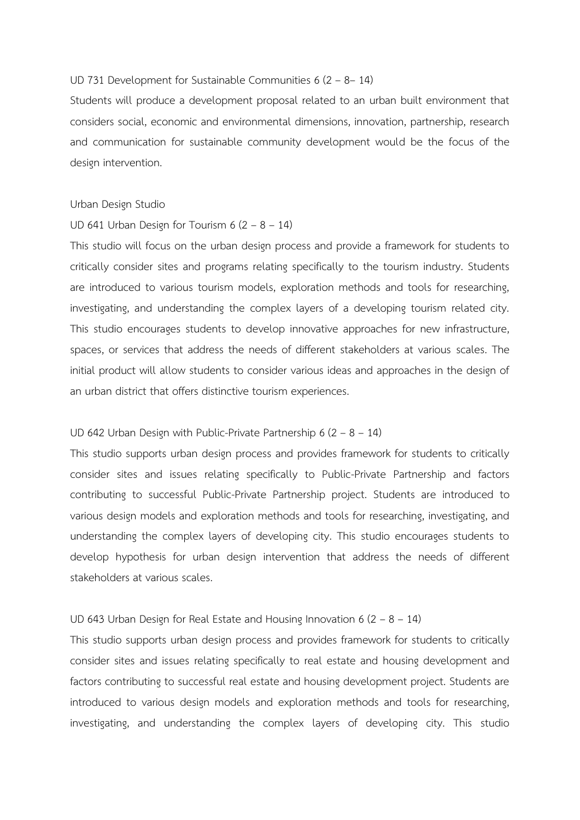## UD 731 Development for Sustainable Communities 6 (2 – 8– 14)

Students will produce a development proposal related to an urban built environment that considers social, economic and environmental dimensions, innovation, partnership, research and communication for sustainable community development would be the focus of the design intervention.

#### Urban Design Studio

#### UD 641 Urban Design for Tourism  $6(2 - 8 - 14)$

This studio will focus on the urban design process and provide a framework for students to critically consider sites and programs relating specifically to the tourism industry. Students are introduced to various tourism models, exploration methods and tools for researching, investigating, and understanding the complex layers of a developing tourism related city. This studio encourages students to develop innovative approaches for new infrastructure, spaces, or services that address the needs of different stakeholders at various scales. The initial product will allow students to consider various ideas and approaches in the design of an urban district that offers distinctive tourism experiences.

## UD 642 Urban Design with Public-Private Partnership 6 (2 – 8 – 14)

This studio supports urban design process and provides framework for students to critically consider sites and issues relating specifically to Public-Private Partnership and factors contributing to successful Public-Private Partnership project. Students are introduced to various design models and exploration methods and tools for researching, investigating, and understanding the complex layers of developing city. This studio encourages students to develop hypothesis for urban design intervention that address the needs of different stakeholders at various scales.

#### UD 643 Urban Design for Real Estate and Housing Innovation 6 (2 – 8 – 14)

This studio supports urban design process and provides framework for students to critically consider sites and issues relating specifically to real estate and housing development and factors contributing to successful real estate and housing development project. Students are introduced to various design models and exploration methods and tools for researching, investigating, and understanding the complex layers of developing city. This studio